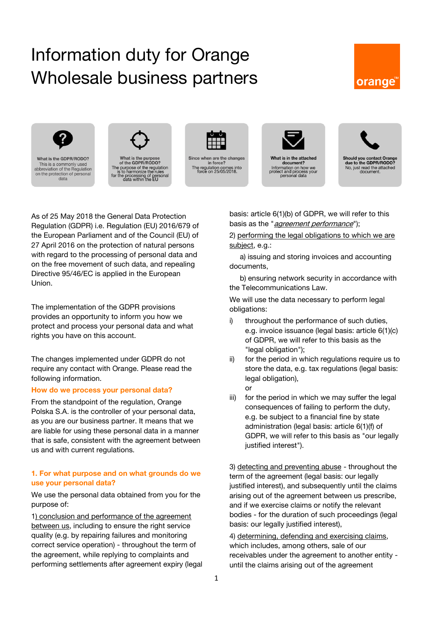# Information duty for Orange Wholesale business partners







what is the purpose<br>of the GDPR/RODO?<br>The purpose of the regulation<br>is to harmonize the rules<br>for the processing of personal<br>data within the EU



Since when are the changes<br>in force? The regulation comes into<br>force on 25/05/2018.



What is in the attached document?<br>Information on how we<br>protect and process your<br>personal data



As of 25 May 2018 the General Data Protection Regulation (GDPR) i.e. Regulation (EU) 2016/679 of the European Parliament and of the Council (EU) of 27 April 2016 on the protection of natural persons with regard to the processing of personal data and on the free movement of such data, and repealing Directive 95/46/EC is applied in the European Union.

The implementation of the GDPR provisions provides an opportunity to inform you how we protect and process your personal data and what rights you have on this account.

The changes implemented under GDPR do not require any contact with Orange. Please read the following information.

# **How do we process your personal data?**

From the standpoint of the regulation, Orange Polska S.A. is the controller of your personal data, as you are our business partner. It means that we are liable for using these personal data in a manner that is safe, consistent with the agreement between us and with current regulations.

## **1. For what purpose and on what grounds do we use your personal data?**

We use the personal data obtained from you for the purpose of:

1) conclusion and performance of the agreement between us, including to ensure the right service quality (e.g. by repairing failures and monitoring correct service operation) - throughout the term of the agreement, while replying to complaints and performing settlements after agreement expiry (legal basis: article 6(1)(b) of GDPR, we will refer to this basis as the "*agreement performance*");

2) performing the legal obligations to which we are subject, e.g.:

a) issuing and storing invoices and accounting documents,

b) ensuring network security in accordance with the Telecommunications Law.

We will use the data necessary to perform legal obligations:

- i) throughout the performance of such duties, e.g. invoice issuance (legal basis: article 6(1)(c) of GDPR, we will refer to this basis as the "legal obligation");
- ii) for the period in which regulations require us to store the data, e.g. tax regulations (legal basis: legal obligation), or
- iii) for the period in which we may suffer the legal consequences of failing to perform the duty, e.g. be subject to a financial fine by state administration (legal basis: article 6(1)(f) of GDPR, we will refer to this basis as "our legally justified interest").

3) detecting and preventing abuse - throughout the term of the agreement (legal basis: our legally justified interest), and subsequently until the claims arising out of the agreement between us prescribe, and if we exercise claims or notify the relevant bodies - for the duration of such proceedings (legal basis: our legally justified interest),

4) determining, defending and exercising claims, which includes, among others, sale of our receivables under the agreement to another entity until the claims arising out of the agreement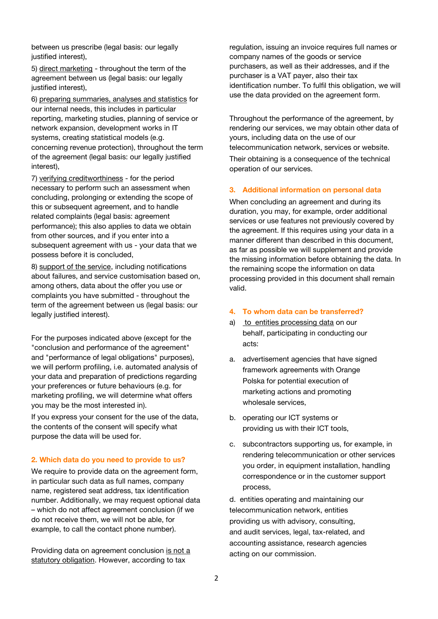between us prescribe (legal basis: our legally justified interest).

5) direct marketing - throughout the term of the agreement between us (legal basis: our legally justified interest),

6) preparing summaries, analyses and statistics for our internal needs, this includes in particular reporting, marketing studies, planning of service or network expansion, development works in IT systems, creating statistical models (e.g. concerning revenue protection), throughout the term of the agreement (legal basis: our legally justified interest),

7) verifying creditworthiness - for the period necessary to perform such an assessment when concluding, prolonging or extending the scope of this or subsequent agreement, and to handle related complaints (legal basis: agreement performance); this also applies to data we obtain from other sources, and if you enter into a subsequent agreement with us - your data that we possess before it is concluded,

8) support of the service, including notifications about failures, and service customisation based on, among others, data about the offer you use or complaints you have submitted - throughout the term of the agreement between us (legal basis: our legally justified interest).

For the purposes indicated above (except for the "conclusion and performance of the agreement" and "performance of legal obligations" purposes), we will perform profiling, i.e. automated analysis of your data and preparation of predictions regarding your preferences or future behaviours (e.g. for marketing profiling, we will determine what offers you may be the most interested in).

If you express your consent for the use of the data, the contents of the consent will specify what purpose the data will be used for.

## **2. Which data do you need to provide to us?**

We require to provide data on the agreement form, in particular such data as full names, company name, registered seat address, tax identification number. Additionally, we may request optional data – which do not affect agreement conclusion (if we do not receive them, we will not be able, for example, to call the contact phone number).

Providing data on agreement conclusion is not a statutory obligation. However, according to tax

regulation, issuing an invoice requires full names or company names of the goods or service purchasers, as well as their addresses, and if the purchaser is a VAT payer, also their tax identification number. To fulfil this obligation, we will use the data provided on the agreement form.

Throughout the performance of the agreement, by rendering our services, we may obtain other data of yours, including data on the use of our telecommunication network, services or website. Their obtaining is a consequence of the technical

## **3. Additional information on personal data**

operation of our services.

When concluding an agreement and during its duration, you may, for example, order additional services or use features not previously covered by the agreement. If this requires using your data in a manner different than described in this document, as far as possible we will supplement and provide the missing information before obtaining the data. In the remaining scope the information on data processing provided in this document shall remain valid.

## **4. To whom data can be transferred?**

- a) to entities processing data on our behalf, participating in conducting our acts:
- a. advertisement agencies that have signed framework agreements with Orange Polska for potential execution of marketing actions and promoting wholesale services,
- b. operating our ICT systems or providing us with their ICT tools,
- c. subcontractors supporting us, for example, in rendering telecommunication or other services you order, in equipment installation, handling correspondence or in the customer support process,

d. entities operating and maintaining our telecommunication network, entities providing us with advisory, consulting, and audit services, legal, tax-related, and accounting assistance, research agencies acting on our commission.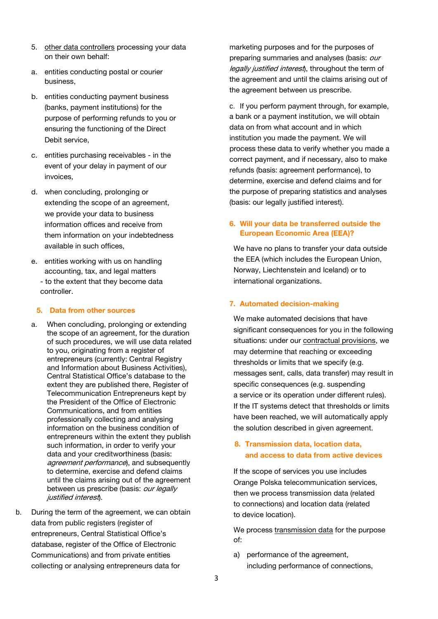- 5. other data controllers processing your data on their own behalf:
- a. entities conducting postal or courier business,
- b. entities conducting payment business (banks, payment institutions) for the purpose of performing refunds to you or ensuring the functioning of the Direct Debit service,
- c. entities purchasing receivables in the event of your delay in payment of our invoices,
- d. when concluding, prolonging or extending the scope of an agreement, we provide your data to business information offices and receive from them information on your indebtedness available in such offices,
- e. entities working with us on handling accounting, tax, and legal matters
	- to the extent that they become data controller.

# **5. Data from other sources**

- a. When concluding, prolonging or extending the scope of an agreement, for the duration of such procedures, we will use data related to you, originating from a register of entrepreneurs (currently: Central Registry and Information about Business Activities), Central Statistical Office's database to the extent they are published there, Register of Telecommunication Entrepreneurs kept by the President of the Office of Electronic Communications, and from entities professionally collecting and analysing information on the business condition of entrepreneurs within the extent they publish such information, in order to verify your data and your creditworthiness (basis: agreement performance), and subsequently to determine, exercise and defend claims until the claims arising out of the agreement between us prescribe (basis: *our legally* justified interest).
- b. During the term of the agreement, we can obtain data from public registers (register of entrepreneurs, Central Statistical Office's database, register of the Office of Electronic Communications) and from private entities collecting or analysing entrepreneurs data for

marketing purposes and for the purposes of preparing summaries and analyses (basis: *our* legally justified interest), throughout the term of the agreement and until the claims arising out of the agreement between us prescribe.

c. If you perform payment through, for example, a bank or a payment institution, we will obtain data on from what account and in which institution you made the payment. We will process these data to verify whether you made a correct payment, and if necessary, also to make refunds (basis: agreement performance), to determine, exercise and defend claims and for the purpose of preparing statistics and analyses (basis: our legally justified interest).

# **6. Will your data be transferred outside the European Economic Area (EEA)?**

We have no plans to transfer your data outside the EEA (which includes the European Union, Norway, Liechtenstein and Iceland) or to international organizations.

# **7. Automated decision-making**

We make automated decisions that have significant consequences for you in the following situations: under our contractual provisions, we may determine that reaching or exceeding thresholds or limits that we specify (e.g. messages sent, calls, data transfer) may result in specific consequences (e.g. suspending a service or its operation under different rules). If the IT systems detect that thresholds or limits have been reached, we will automatically apply the solution described in given agreement.

# **8. Transmission data, location data, and access to data from active devices**

If the scope of services you use includes Orange Polska telecommunication services, then we process transmission data (related to connections) and location data (related to device location).

We process transmission data for the purpose of:

a) performance of the agreement. including performance of connections,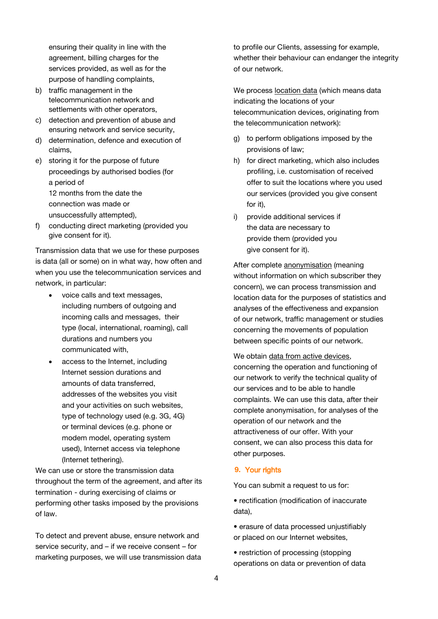ensuring their quality in line with the agreement, billing charges for the services provided, as well as for the purpose of handling complaints,

- b) traffic management in the telecommunication network and settlements with other operators.
- c) detection and prevention of abuse and ensuring network and service security,
- d) determination, defence and execution of claims,
- e) storing it for the purpose of future proceedings by authorised bodies (for a period of 12 months from the date the connection was made or unsuccessfully attempted),
- f) conducting direct marketing (provided you give consent for it).

Transmission data that we use for these purposes is data (all or some) on in what way, how often and when you use the telecommunication services and network, in particular:

- voice calls and text messages, including numbers of outgoing and incoming calls and messages, their type (local, international, roaming), call durations and numbers you communicated with,
- access to the Internet, including Internet session durations and amounts of data transferred, addresses of the websites you visit and your activities on such websites, type of technology used (e.g. 3G, 4G) or terminal devices (e.g. phone or modem model, operating system used), Internet access via telephone (Internet tethering).

We can use or store the transmission data throughout the term of the agreement, and after its termination - during exercising of claims or performing other tasks imposed by the provisions of law.

To detect and prevent abuse, ensure network and service security, and – if we receive consent – for marketing purposes, we will use transmission data to profile our Clients, assessing for example, whether their behaviour can endanger the integrity of our network.

We process location data (which means data indicating the locations of your telecommunication devices, originating from the telecommunication network):

- g) to perform obligations imposed by the provisions of law;
- h) for direct marketing, which also includes profiling, i.e. customisation of received offer to suit the locations where you used our services (provided you give consent for it),
- i) provide additional services if the data are necessary to provide them (provided you give consent for it).

After complete anonymisation (meaning without information on which subscriber they concern), we can process transmission and location data for the purposes of statistics and analyses of the effectiveness and expansion of our network, traffic management or studies concerning the movements of population between specific points of our network.

We obtain data from active devices, concerning the operation and functioning of our network to verify the technical quality of our services and to be able to handle complaints. We can use this data, after their complete anonymisation, for analyses of the operation of our network and the attractiveness of our offer. With your consent, we can also process this data for other purposes.

# **9.** Your rights

You can submit a request to us for:

- rectification (modification of inaccurate data),
- erasure of data processed unjustifiably or placed on our Internet websites,
- restriction of processing (stopping operations on data or prevention of data